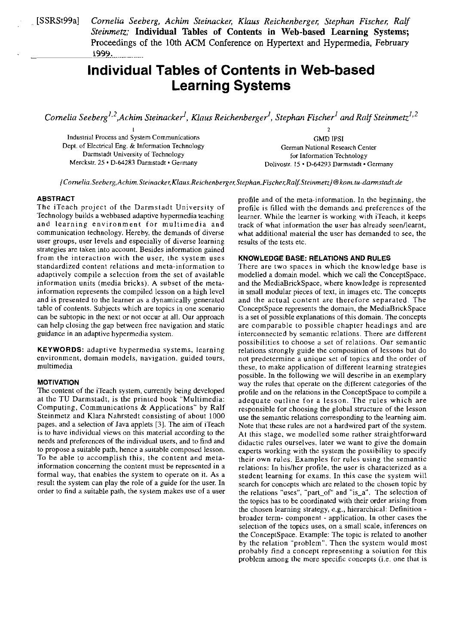[SSRSt99al *Comelra Seeberg, Achim Steinacker, Klaus Reichenberger; Stephan Fischer, Ralf Steinmetz;* **Individual Tables of Contents in Web-based Learning Systems; Proceedings of the 10th ACM Conference on Hypertext** and **Hypermedia, February**  <sup>L</sup>**@Q%-** . -

# **Individual Tables of Contents in Web-based Learning Systems**

*Cornelia Seeberg<sup>1,2</sup>,Achim Steinacker<sup>1</sup>, Klaus Reichenberger<sup>1</sup>, Stephan Fischer<sup>1</sup> and Ralf Steinmetz<sup>1,2</sup>* 

**<sup>1</sup>2**  Industrial Process and System Communications GMD IPSI Dept. of Electrical Eng. & Information Technology German National Research Center Darmstadt University of Technology<br>Merckstr. 25 • D-64283 Darmstadt • Germany Farmstadt of The Indiversity of Technology

Dolivostr. 15 · D-64293 Darmstadt · Germany

(Cornelia.Seeberg, Achim.Steinacker, Klaus.Reichenberger, Stephan.Fischer, Ralf.Steinmetz)@kom.tu-darmstadt.de

### **ABSTRACT**

The iTeach project of the Darmstadt University of Technology builds a webbased adaptive hypermedia teaching and learning environment for multimedia and communication technology. Hereby. the demands of diverse user groups, user levels and especially of diverse learning strategies are taken into account. Besides information gained from the interaction with the user, the system uses standardized content relations and meta-information to adaptively compile a selection from the set of available information units (media bricks). **A** subset of the metainformation represents the compiled lesson on a high level and is presenied to the learner as a dynamically generated table of contents. Subjects which are topics in one scenario can be subtopic in the next or not occur at all. Our approach can help closing the gap between free navigation and static guidance in an adaptive hypermedia system.

**KEYWORDS:** adaptive hypermedia systems, learning environment. domain models, navigation. guided tours, multimedia

#### **MOTIVATION**

The content of the iTeach system, currently being developed at the TU Darmstadt, is the printed book "Multimedia: Compuiing, Communications & Applications" by Ralf Steinmetz and Klara Nahrstedt consisting of about 1000 pages. and a selection of Java applets [3]. The aim of iTeach is to have individual views on this material according to the needs and preferences of the individual Users, and to find and to propose a suitable path, hence a suitable composed lesson. To be able to accomplish this, the content and metainformation concerning the content must be represented in a formal way, that enables the system to operate on it. As a result the system can play the role of a guide for the user. In order to find a suitable path, the system makes use of a user profile and of the meta-information. In the beginning, the profile is filled with the demands and preferences of the learner. While the learner is working with iTeach, it keeps track of what information the user has already seen/learnt, what additional material the user has demanded to see, the results of the tests etc.

#### **KNOWLEDGE BASE: RELATIONS AND RULES**

There are two spaces in which the knowledge base is modelled a domain model. which we call the ConceptSpace. and the MediaBrickSpace. where knowledge is represented in small modular pieces of text, in images etc. The concepts and the actual content are therefore separated. The ConceptSpace represents the domain. the MediaBrickSpace is a set of possible explanations of this domain. The concepts are comparable to possible chapter headings and are interconnected by semantic relations. There are different possibilities to choose a set of relations. Our semantic relations strongly guide the composition of lessons but do not predetermine a unique set of topics and the order of these, in make application of different learning strategies possible. In the following we will describe in an exemplary way the rules that operate on the different categories of the profile and on the relations in the ConceptSpace to compile a adequate outline for a lesson. The rules which are responsible for choosing the global structure of the lesson use the semantic relations conesponding to the learning aim. Note that these rules are not a hardwired part of the system. At this stage, we modelled some rather straightforward didactic rules ourselves, later we want to give the domain experts working with the system the possibility to specify their own rules. Examples for rules using the semantic relations: In his/her profile, the user is characterized as a student learning for exams. In this case the system will search for concepts which are related to the chosen topic by the relations "uses", "part\_of" and "is\_a". The selection of the topics has to be coordinated with their order arising from the chosen learning strategy, e.g., hierarchical: Definition broader term- component - application. In other cases the selection of the topics uses, on a small scale, inferences on the ConceptSpace. ExampIe: The topic is related to another by the relation "problem". Then the systern would most probably find **a** concept representing a solution for this problem among the more specific concepts (i.e. one that is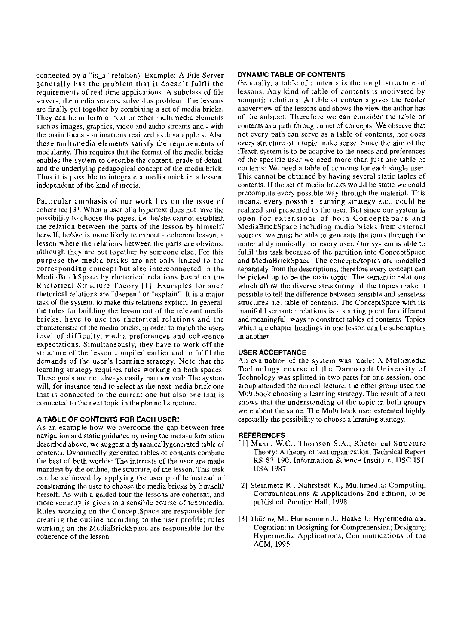connected by a "is-a" relaiion). Example: A File Server generally has the problem that it doesn't fulfil the requirements of real time applications. A subclass of file servers, the media servers. solve this problem. The lessons are finally put together by combining a Set of media bricks. They can be in form of text or other multimedia elements such as images, graphics, video and audio streams and - with the main focus - animations realized as Java applets. Also these multimedia elements satisfy the requirements of modularity. This requires that the format of the media bricks enables the system to describe thc content, grade of detail. and thc underlying pedagogical concept of the media brick. Thus it is possible to integrate a media brick in a lesson, independent of the kind of media.

Particular emphasis of our work lies on the issue of coherence **131.** When a User of a hypenext does not have the possibility to choose the pages, i.e. helshe cannot establish the relation between the parts of the lesson by himself/ herself, he/she is more likely to expect a coherent lesson, a lesson where the relations between the parts are obvious, although they are put together by someone else. For this purpose the media bricks are not only linked to the corresponding concept but also interconnected in the MediaBrickSpace by rhetorical relations based on the Rhetorical Structure Theory [I]. Examples for such rhetorical relations are "deepen" or "explain". It is a major task of the system, to make this relations explicit. In general, the rules for building the lesson out of the relevant media bricks, have to use the rhetorical relations and the characteristic of the media bricks, in order to match the users level of difficulty; media preferences and coherence expectations. Simultaneously. they have to work off the structure of the lesson compiled earlier and to fulfil the demands of the user's learning strategy. Note that the learning strategy requires rules working on both spaces. These goals are not always easily harmonized: The system will, for instance tend to select as the next media brick one that is connected to the current one but also one that is connecied to the next topic in the planned structure.

#### **A TABLE OF CONTENTS FOR EACH USER!**

As an example how we overcome the gap between free navigation and static guidance by using the meta-information described above, we suggest a dynamicallygenerated table of contents. Dynamically generated tables of contents combine the best of both worlds: The interests of the User are made manifest by the outline, the stmcture, of the lesson. This task can be achieved by applying the user profile instead of constraining the user to choose the media bricks by himself/ herself. As with a guided tour the lessons are coherent, and more security is given to a sensible course of text/media. Rules working on the ConceptSpace are responsible for creating the outline according to the user profile; rules working on the MediaBrickSpace are responsible for the coherence of the lesson.

#### **DYNAMIC TABLE OF CONTENTS**

Generally. a table of contents is the rough structure of lessons. Any kind of table of contents is motivated by semantic relations. A table of contents gives the reader anoverview of the lessons and shows the view the author has of the subject. Therefore we can consider the table of contents as a path through a net of concepts. We observe that not every path can serve as a table of contents, nor does every structure of a topic make sense. Since the aim of the iTeach system is to be adaptive to the needs and preferences of the specific User we need more than just one table of contents: We need a table of contents for each single user. This cannot be obtained by having several static tables of contents. If the sei of media bricks would be static we could precompute every possible way through the material. This means, every possible learning strategy etc.. could be realized and presented to the user. Rut since our system is Open for extensions of both ConceptSpace and MediaBrickSpace including media bricks from external sources. we must be able to generate the tours through ihe material dynamically for every user. Our sysiem is able to fulfil this task because of the partition into ConceptSpace and MediaBrickSpace. The conceptsltopics are modelled separately from the descriptions. therefore every concept can be picked up to be the main topic. The semantic relations which allow the diverse structuring of the topics make it possible to teil the difference beiween sensible and senseless structures, i.e. iable of contents. The ConceptSpace with its manifold semantic relations is a starting point for different and meaningful ways to construct tables of contents. Topics which are chapter headings in one lesson can be subchapters in another.

#### **USER ACCEPTANCE**

An evaluation of the system was made: A Multimedia Technology course of the Darmstadt University of Technology was splitted in two parts for one session. one group attended the normal lecture, the other group used the Multibook choosing a learning strategy. The result of a test shows that the understanding of the topic in both groups were about the same. The Multobook user esteemed highly especially the possibility to choose a leraning startegy.

#### **REFERENCES**

- [I] Mann, W.C., Thomson S.A., Rhetorical Structure Theory: A theory of text organization; Technical Report RS-87-190. Information Science Institute, USC ISI. USA 1987
- *[2]* Steinmetz R., Nahrstedt K., Multimedia: Computing Communications & Applications 2nd edition, to be published, Prentice Hall, 1998
- [3] Thüring M., Hannemann J., Haake J.; Hypermedia and Cognition: in Designing for Comprehension; Designing Hypermedia Applications, Communications of the ACM, 1995